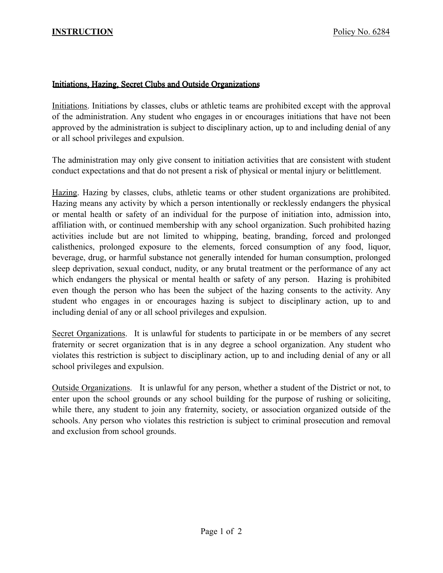## Initiations, Hazing, Secret Clubs and Outside Organizations

Initiations. Initiations by classes, clubs or athletic teams are prohibited except with the approval of the administration. Any student who engages in or encourages initiations that have not been approved by the administration is subject to disciplinary action, up to and including denial of any or all school privileges and expulsion.

The administration may only give consent to initiation activities that are consistent with student conduct expectations and that do not present a risk of physical or mental injury or belittlement.

Hazing. Hazing by classes, clubs, athletic teams or other student organizations are prohibited. Hazing means any activity by which a person intentionally or recklessly endangers the physical or mental health or safety of an individual for the purpose of initiation into, admission into, affiliation with, or continued membership with any school organization. Such prohibited hazing activities include but are not limited to whipping, beating, branding, forced and prolonged calisthenics, prolonged exposure to the elements, forced consumption of any food, liquor, beverage, drug, or harmful substance not generally intended for human consumption, prolonged sleep deprivation, sexual conduct, nudity, or any brutal treatment or the performance of any act which endangers the physical or mental health or safety of any person. Hazing is prohibited even though the person who has been the subject of the hazing consents to the activity. Any student who engages in or encourages hazing is subject to disciplinary action, up to and including denial of any or all school privileges and expulsion.

Secret Organizations. It is unlawful for students to participate in or be members of any secret fraternity or secret organization that is in any degree a school organization. Any student who violates this restriction is subject to disciplinary action, up to and including denial of any or all school privileges and expulsion.

Outside Organizations. It is unlawful for any person, whether a student of the District or not, to enter upon the school grounds or any school building for the purpose of rushing or soliciting, while there, any student to join any fraternity, society, or association organized outside of the schools. Any person who violates this restriction is subject to criminal prosecution and removal and exclusion from school grounds.